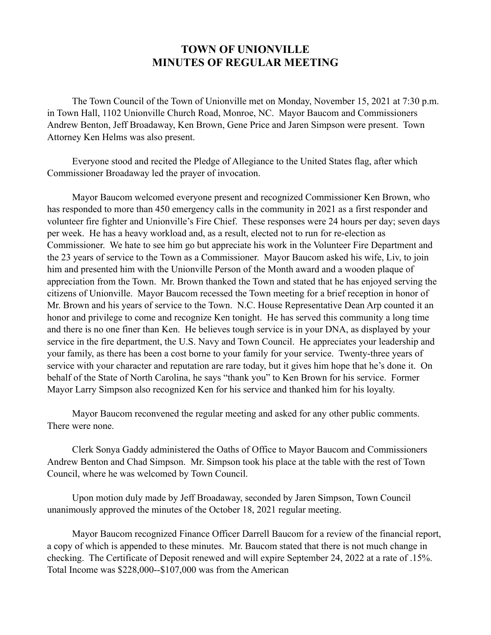## **TOWN OF UNIONVILLE MINUTES OF REGULAR MEETING**

 The Town Council of the Town of Unionville met on Monday, November 15, 2021 at 7:30 p.m. in Town Hall, 1102 Unionville Church Road, Monroe, NC. Mayor Baucom and Commissioners Andrew Benton, Jeff Broadaway, Ken Brown, Gene Price and Jaren Simpson were present. Town Attorney Ken Helms was also present.

 Everyone stood and recited the Pledge of Allegiance to the United States flag, after which Commissioner Broadaway led the prayer of invocation.

 Mayor Baucom welcomed everyone present and recognized Commissioner Ken Brown, who has responded to more than 450 emergency calls in the community in 2021 as a first responder and volunteer fire fighter and Unionville's Fire Chief. These responses were 24 hours per day; seven days per week. He has a heavy workload and, as a result, elected not to run for re-election as Commissioner. We hate to see him go but appreciate his work in the Volunteer Fire Department and the 23 years of service to the Town as a Commissioner. Mayor Baucom asked his wife, Liv, to join him and presented him with the Unionville Person of the Month award and a wooden plaque of appreciation from the Town. Mr. Brown thanked the Town and stated that he has enjoyed serving the citizens of Unionville. Mayor Baucom recessed the Town meeting for a brief reception in honor of Mr. Brown and his years of service to the Town. N.C. House Representative Dean Arp counted it an honor and privilege to come and recognize Ken tonight. He has served this community a long time and there is no one finer than Ken. He believes tough service is in your DNA, as displayed by your service in the fire department, the U.S. Navy and Town Council. He appreciates your leadership and your family, as there has been a cost borne to your family for your service. Twenty-three years of service with your character and reputation are rare today, but it gives him hope that he's done it. On behalf of the State of North Carolina, he says "thank you" to Ken Brown for his service. Former Mayor Larry Simpson also recognized Ken for his service and thanked him for his loyalty.

 Mayor Baucom reconvened the regular meeting and asked for any other public comments. There were none.

 Clerk Sonya Gaddy administered the Oaths of Office to Mayor Baucom and Commissioners Andrew Benton and Chad Simpson. Mr. Simpson took his place at the table with the rest of Town Council, where he was welcomed by Town Council.

 Upon motion duly made by Jeff Broadaway, seconded by Jaren Simpson, Town Council unanimously approved the minutes of the October 18, 2021 regular meeting.

 Mayor Baucom recognized Finance Officer Darrell Baucom for a review of the financial report, a copy of which is appended to these minutes. Mr. Baucom stated that there is not much change in checking. The Certificate of Deposit renewed and will expire September 24, 2022 at a rate of .15%. Total Income was \$228,000--\$107,000 was from the American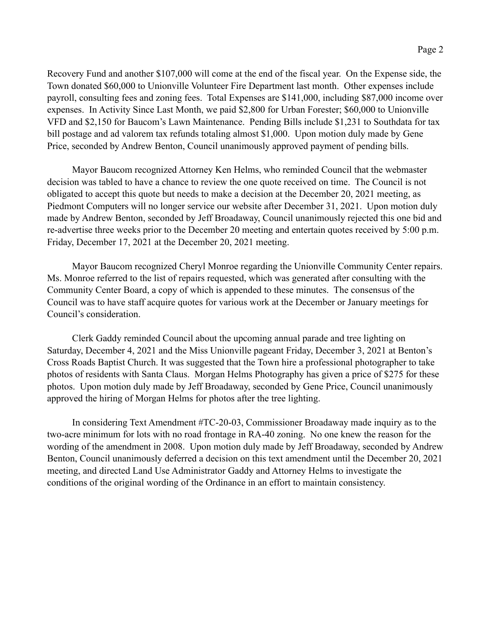Recovery Fund and another \$107,000 will come at the end of the fiscal year. On the Expense side, the Town donated \$60,000 to Unionville Volunteer Fire Department last month. Other expenses include payroll, consulting fees and zoning fees. Total Expenses are \$141,000, including \$87,000 income over expenses. In Activity Since Last Month, we paid \$2,800 for Urban Forester; \$60,000 to Unionville VFD and \$2,150 for Baucom's Lawn Maintenance. Pending Bills include \$1,231 to Southdata for tax bill postage and ad valorem tax refunds totaling almost \$1,000. Upon motion duly made by Gene Price, seconded by Andrew Benton, Council unanimously approved payment of pending bills.

 Mayor Baucom recognized Attorney Ken Helms, who reminded Council that the webmaster decision was tabled to have a chance to review the one quote received on time. The Council is not obligated to accept this quote but needs to make a decision at the December 20, 2021 meeting, as Piedmont Computers will no longer service our website after December 31, 2021. Upon motion duly made by Andrew Benton, seconded by Jeff Broadaway, Council unanimously rejected this one bid and re-advertise three weeks prior to the December 20 meeting and entertain quotes received by 5:00 p.m. Friday, December 17, 2021 at the December 20, 2021 meeting.

 Mayor Baucom recognized Cheryl Monroe regarding the Unionville Community Center repairs. Ms. Monroe referred to the list of repairs requested, which was generated after consulting with the Community Center Board, a copy of which is appended to these minutes. The consensus of the Council was to have staff acquire quotes for various work at the December or January meetings for Council's consideration.

 Clerk Gaddy reminded Council about the upcoming annual parade and tree lighting on Saturday, December 4, 2021 and the Miss Unionville pageant Friday, December 3, 2021 at Benton's Cross Roads Baptist Church. It was suggested that the Town hire a professional photographer to take photos of residents with Santa Claus. Morgan Helms Photography has given a price of \$275 for these photos. Upon motion duly made by Jeff Broadaway, seconded by Gene Price, Council unanimously approved the hiring of Morgan Helms for photos after the tree lighting.

 In considering Text Amendment #TC-20-03, Commissioner Broadaway made inquiry as to the two-acre minimum for lots with no road frontage in RA-40 zoning. No one knew the reason for the wording of the amendment in 2008. Upon motion duly made by Jeff Broadaway, seconded by Andrew Benton, Council unanimously deferred a decision on this text amendment until the December 20, 2021 meeting, and directed Land Use Administrator Gaddy and Attorney Helms to investigate the conditions of the original wording of the Ordinance in an effort to maintain consistency.